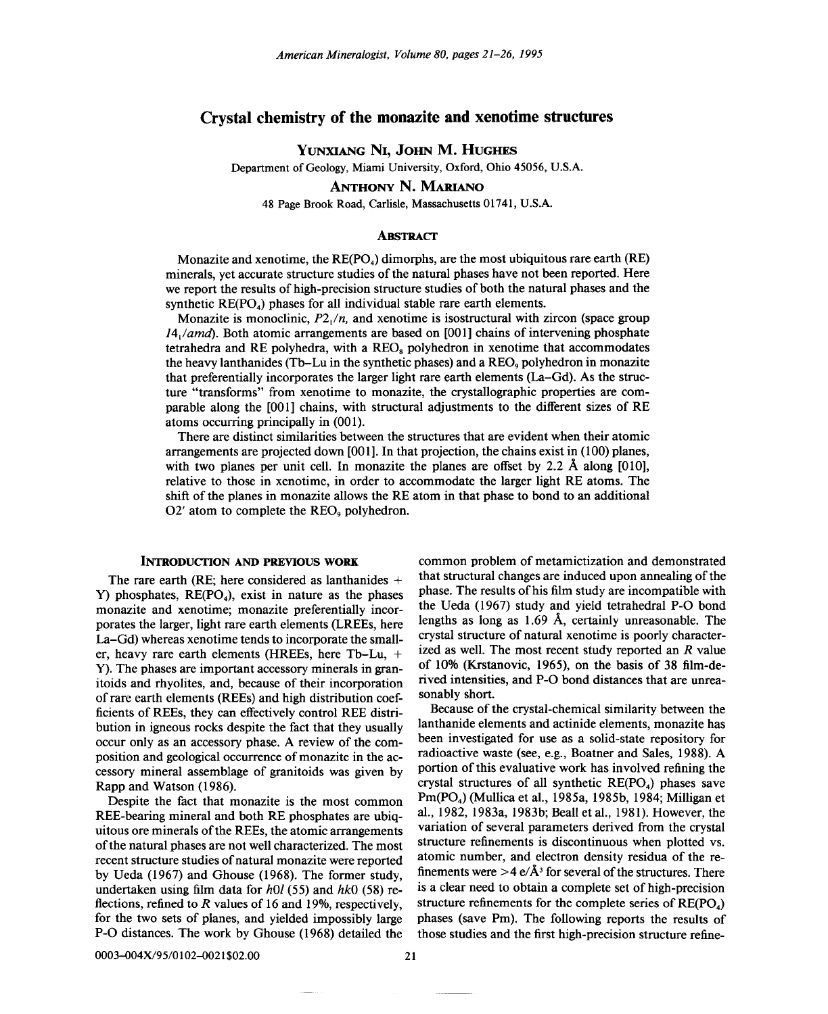# Crystal chemistry of the monazite and xenotime structures

YUNXIANG NI, JOHN M. HUGHES

Department of Geology, Miami University, Oxford, Ohio 45056, U.S.A.

ANTHONY N. MARIANO

48 Page Brook Road, Carlisle, Massachusetts 01741, U.S.A.

## **ABSTRACT**

Monazite and xenotime, the  $RE(PO<sub>4</sub>)$  dimorphs, are the most ubiquitous rare earth  $(RE)$ minerals, yet accurate structure studies of the natural phases have not been reported. Here we report the results of high-precision structure studies of both the natural phases and the synthetic  $RE(PO<sub>4</sub>)$  phases for all individual stable rare earth elements.

Monazite is monoclinic, *P2/n,* and xenotime is isostructural with zircon (space group *14/amd).* Both atomic arrangements are based on [001] chains of intervening phosphate tetrahedra and RE polyhedra, with a  $REO<sub>s</sub>$  polyhedron in xenotime that accommodates the heavy lanthanides (Tb-Lu in the synthetic phases) and a REO<sub>9</sub> polyhedron in monazite that preferentially incorporates the larger light rare earth elements (La-Gd). As the structure "transforms" from xenotime to monazite, the crystallographic properties are comparable along the [00I] chains, with structural adjustments to the different sizes of RE atoms occurring principally in  $(001)$ .

There are distinct similarities between the structures that are evident when their atomic arrangements are projected down [001]. In that projection, the chains exist in (100) planes, with two planes per unit cell. In monazite the planes are offset by 2.2 Å along [010], relative to those in xenotime, in order to accommodate the larger light RE atoms. The shift of the planes in monazite allows the RE atom in that phase to bond to an additional  $O2'$  atom to complete the REO<sub> $9$ </sub> polyhedron.

# INTRODUCTION AND PREVIOUS WORK

The rare earth (RE; here considered as lanthanides + Y) phosphates,  $RE(PO<sub>4</sub>)$ , exist in nature as the phases monazite and xenotime; monazite preferentially incorporates the larger, light rare earth elements (LREEs, here La-Gd) whereas xenotime tends to incorporate the smaller, heavy rare earth elements (HREEs, here Tb-Lu, + V). The phases are important accessory minerals in granitoids and rhyolites, and, because of their incorporation of rare earth elements (REEs) and high distribution coefficients of REEs, they can effectively control REE distribution in igneous rocks despite the fact that they usually occur only as an accessory phase. A review of the composition and geological occurrence of monazite in the accessory mineral assemblage of granitoids was given by Rapp and Watson (1986).

Despite the fact that monazite is the most common REE-bearing mineral and both RE phosphates are ubiquitous ore minerals of the REEs, the atomic arrangements of the natural phases are not well characterized. The most recent structure studies of natural monazite were reported by Veda (1967) and Ghouse (1968). The former study, undertaken using film data for *hOt* (55) and *hkO* (58) reflections, refined to *R* values of 16 and 19%, respectively, for the two sets of planes, and yielded impossibly large P-O distances. The work by Ghouse (1968) detailed the

common problem of metamictization and demonstrated that structural changes are induced upon annealing of the phase. The results of his film study are incompatible with the Veda (1967) study and yield tetrahedral P-O bond lengths as long as 1.69 A, certainly unreasonable. The crystal structure of natural xenotime is poorly characterized as well. The most recent study reported an *R* value of 10% (Krstanovic, 1965), on the basis of 38 film-derived intensities, and P-O bond distances that are unreasonably short.

Because of the crystal-chemical similarity between the lanthanide elements and actinide elements, monazite has been investigated for use as a solid-state repository for radioactive waste (see, e.g., Boatner and Sales, 1988). A portion of this evaluative work has involved refining the crystal structures of all synthetic  $RE(PO<sub>4</sub>)$  phases save Pm(P04) (Mullica et aI., 1985a, 1985b, 1984; Milligan et aI., 1982, 1983a, 1983b; Beall et aI., 1981). However, the variation of several parameters derived from the crystal structure refinements is discontinuous when plotted vs. atomic number, and electron density residua of the refinements were  $>$  4 e/Å<sup>3</sup> for several of the structures. There is a clear need to obtain a complete set of high-precision structure refinements for the complete series of  $RE(PO<sub>4</sub>)$ phases (save Pm). The following reports the results of those studies and the first high-precision structure refine-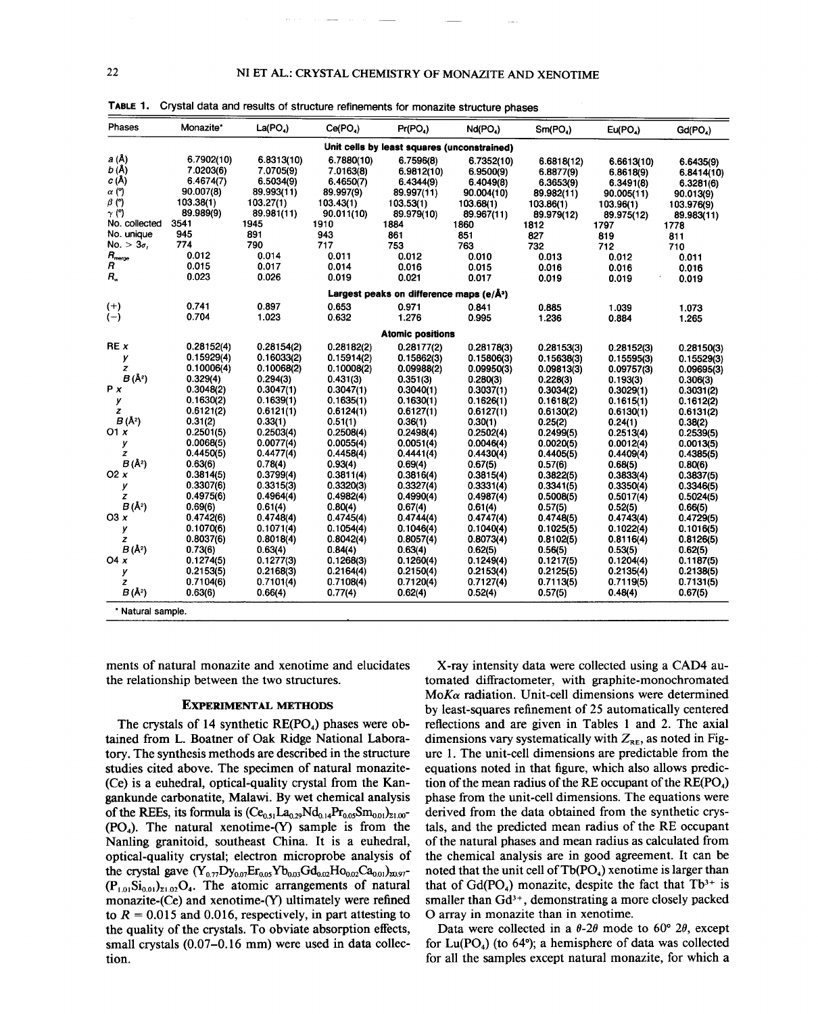| Phases                                                                                                                                                 | Monazite*                                                                                                                                                                                                             | La(PO <sub>a</sub> )                                                                                                                                                                                                  | Ce(PO <sub>4</sub> )                                                                                                                                                                                                  | Pr(PO4)                                                                                                                                                                                                               | Nd(PO <sub>a</sub> )                                                                                                                                                                                                  | Sm(PO <sub>4</sub> )                                                                                                                                                                                                  | Eu(PO <sub>A</sub> )                                                                                                                                                                                     | Gd(PO <sub>4</sub> )                                                                                                                                                                                     |
|--------------------------------------------------------------------------------------------------------------------------------------------------------|-----------------------------------------------------------------------------------------------------------------------------------------------------------------------------------------------------------------------|-----------------------------------------------------------------------------------------------------------------------------------------------------------------------------------------------------------------------|-----------------------------------------------------------------------------------------------------------------------------------------------------------------------------------------------------------------------|-----------------------------------------------------------------------------------------------------------------------------------------------------------------------------------------------------------------------|-----------------------------------------------------------------------------------------------------------------------------------------------------------------------------------------------------------------------|-----------------------------------------------------------------------------------------------------------------------------------------------------------------------------------------------------------------------|----------------------------------------------------------------------------------------------------------------------------------------------------------------------------------------------------------|----------------------------------------------------------------------------------------------------------------------------------------------------------------------------------------------------------|
| Unit cells by least squares (unconstrained)                                                                                                            |                                                                                                                                                                                                                       |                                                                                                                                                                                                                       |                                                                                                                                                                                                                       |                                                                                                                                                                                                                       |                                                                                                                                                                                                                       |                                                                                                                                                                                                                       |                                                                                                                                                                                                          |                                                                                                                                                                                                          |
| <i>a</i> (Å)<br>b (Å)<br>c (Å)<br>$\alpha$ (°)<br>$\beta$ (°)<br>$\gamma$ (°)<br>No. collected                                                         | 6.7902(10)<br>7.0203(6)<br>6.4674(7)<br>90.007(8)<br>103.38(1)<br>89.989(9)<br>3541                                                                                                                                   | 6.8313(10)<br>7.0705(9)<br>6.5034(9)<br>89.993(11)<br>103.27(1)<br>89.981(11)<br>1945                                                                                                                                 | 6.7880(10)<br>7.0163(8)<br>6.4650(7)<br>89.997(9)<br>103.43(1)<br>90.011(10)<br>1910                                                                                                                                  | 6.7596(8)<br>6.9812(10)<br>6.4344(9)<br>89.997(11)<br>103.53(1)<br>89.979(10)<br>1884                                                                                                                                 | 6.7352(10)<br>6.9500(9)<br>6.4049(8)<br>90.004(10)<br>103.68(1)<br>89.967(11)<br>1860                                                                                                                                 | 6.6818(12)<br>6.8877(9)<br>6.3653(9)<br>89.982(11)<br>103.86(1)<br>89.979(12)<br>1812                                                                                                                                 | 6.6613(10)<br>6.8618(9)<br>6.3491(8)<br>90.005(11)<br>103.96(1)<br>89.975(12)<br>1797                                                                                                                    | 6.6435(9)<br>6.8414(10)<br>6.3281(6)<br>90.013(9)<br>103.976(9)<br>89.983(11)<br>1778                                                                                                                    |
| No. unique                                                                                                                                             | 945                                                                                                                                                                                                                   | 891                                                                                                                                                                                                                   | 943                                                                                                                                                                                                                   | 861                                                                                                                                                                                                                   | 851                                                                                                                                                                                                                   | 827                                                                                                                                                                                                                   | 819                                                                                                                                                                                                      | 811                                                                                                                                                                                                      |
| No. $> 3\sigma$ ,<br>$R_{\rm merge}$<br>R<br>R.,                                                                                                       | 774<br>0.012<br>0.015<br>0.023                                                                                                                                                                                        | 790<br>0.014<br>0.017<br>0.026                                                                                                                                                                                        | 717<br>0.011<br>0.014<br>0.019                                                                                                                                                                                        | 753<br>0.012<br>0.016<br>0.021                                                                                                                                                                                        | 763<br>0.010<br>0.015<br>0.017                                                                                                                                                                                        | 732<br>0.013<br>0.016<br>0.019                                                                                                                                                                                        | 712<br>0.012<br>0.016<br>0.019                                                                                                                                                                           | 710<br>0.011<br>0.016<br>0.019                                                                                                                                                                           |
|                                                                                                                                                        | Largest peaks on difference maps (e/Å <sup>3</sup> )                                                                                                                                                                  |                                                                                                                                                                                                                       |                                                                                                                                                                                                                       |                                                                                                                                                                                                                       |                                                                                                                                                                                                                       |                                                                                                                                                                                                                       |                                                                                                                                                                                                          |                                                                                                                                                                                                          |
| $^{(+)}$<br>$(-)$                                                                                                                                      | 0.741<br>0.704                                                                                                                                                                                                        | 0.897<br>1.023                                                                                                                                                                                                        | 0.653<br>0.632                                                                                                                                                                                                        | 0.971<br>1.276                                                                                                                                                                                                        | 0.841<br>0.995                                                                                                                                                                                                        | 0.885<br>1.236                                                                                                                                                                                                        | 1.039<br>0.884                                                                                                                                                                                           | 1.073<br>1.265                                                                                                                                                                                           |
|                                                                                                                                                        |                                                                                                                                                                                                                       |                                                                                                                                                                                                                       |                                                                                                                                                                                                                       | <b>Atomic positions</b>                                                                                                                                                                                               |                                                                                                                                                                                                                       |                                                                                                                                                                                                                       |                                                                                                                                                                                                          |                                                                                                                                                                                                          |
| REX<br>у<br>z<br>$B(\AA^2)$<br>P x<br>у<br>z<br>$B(\AA^2)$<br>01x<br>у<br>z<br>$B(\lambda^2)$<br>O <sub>2</sub> $x$<br>у<br>z<br>$B(\lambda^2)$<br>O3x | 0.28152(4)<br>0.15929(4)<br>0.10006(4)<br>0.329(4)<br>0.3048(2)<br>0.1630(2)<br>0.6121(2)<br>0.31(2)<br>0.2501(5)<br>0.0068(5)<br>0.4450(5)<br>0.63(6)<br>0.3814(5)<br>0.3307(6)<br>0.4975(6)<br>0.69(6)<br>0.4742(6) | 0.28154(2)<br>0.16033(2)<br>0.10068(2)<br>0.294(3)<br>0.3047(1)<br>0.1639(1)<br>0.6121(1)<br>0.33(1)<br>0.2503(4)<br>0.0077(4)<br>0.4477(4)<br>0.78(4)<br>0.3799(4)<br>0.3315(3)<br>0.4964(4)<br>0.61(4)<br>0.4748(4) | 0.28182(2)<br>0.15914(2)<br>0.10008(2)<br>0.431(3)<br>0.3047(1)<br>0.1635(1)<br>0.6124(1)<br>0.51(1)<br>0.2508(4)<br>0.0055(4)<br>0.4458(4)<br>0.93(4)<br>0.3811(4)<br>0.3320(3)<br>0.4982(4)<br>0.80(4)<br>0.4745(4) | 0.28177(2)<br>0.15862(3)<br>0.09988(2)<br>0.351(3)<br>0.3040(1)<br>0.1630(1)<br>0.6127(1)<br>0.36(1)<br>0.2498(4)<br>0.0051(4)<br>0.4441(4)<br>0.69(4)<br>0.3816(4)<br>0.3327(4)<br>0.4990(4)<br>0.67(4)<br>0.4744(4) | 0.28178(3)<br>0.15806(3)<br>0.09950(3)<br>0.280(3)<br>0.3037(1)<br>0.1626(1)<br>0.6127(1)<br>0.30(1)<br>0.2502(4)<br>0.0046(4)<br>0.4430(4)<br>0.67(5)<br>0.3815(4)<br>0.3331(4)<br>0.4987(4)<br>0.61(4)<br>0.4747(4) | 0.28153(3)<br>0.15638(3)<br>0.09813(3)<br>0.228(3)<br>0.3034(2)<br>0.1618(2)<br>0.6130(2)<br>0.25(2)<br>0.2499(5)<br>0.0020(5)<br>0.4405(5)<br>0.57(6)<br>0.3822(5)<br>0.3341(5)<br>0.5008(5)<br>0.57(5)<br>0.4748(5) | 0.28152(3)<br>0.15595(3)<br>0.09757(3)<br>0.193(3)<br>0.3029(1)<br>0.1615(1)<br>0.6130(1)<br>0.24(1)<br>0.2513(4)<br>0.0012(4)<br>0.4409(4)<br>0.68(5)<br>0.3833(4)<br>0.3350(4)<br>0.5017(4)<br>0.52(5) | 0.28150(3)<br>0.15529(3)<br>0.09695(3)<br>0.306(3)<br>0.3031(2)<br>0.1612(2)<br>0.6131(2)<br>0.38(2)<br>0.2539(5)<br>0.0013(5)<br>0.4385(5)<br>0.80(6)<br>0.3837(5)<br>0.3346(5)<br>0.5024(5)<br>0.66(5) |
| у<br>z<br>$B(\AA^2)$<br>04x<br>у<br>z<br>$B(\AA^2)$                                                                                                    | 0.1070(6)<br>0.8037(6)<br>0.73(6)<br>0.1274(5)<br>0.2153(5)<br>0.7104(6)<br>0.63(6)                                                                                                                                   | 0.1071(4)<br>0.8018(4)<br>0.63(4)<br>0.1277(3)<br>0.2168(3)<br>0.7101(4)<br>0.66(4)                                                                                                                                   | 0.1054(4)<br>0.8042(4)<br>0.84(4)<br>0.1268(3)<br>0.2164(4)<br>0.7108(4)<br>0.77(4)                                                                                                                                   | 0.1046(4)<br>0.8057(4)<br>0.63(4)<br>0.1260(4)<br>0.2150(4)<br>0.7120(4)<br>0.62(4)                                                                                                                                   | 0.1040(4)<br>0.8073(4)<br>0.62(5)<br>0.1249(4)<br>0.2153(4)<br>0.7127(4)<br>0.52(4)                                                                                                                                   | 0.1025(5)<br>0.8102(5)<br>0.56(5)<br>0.1217(5)<br>0.2125(5)<br>0.7113(5)<br>0.57(5)                                                                                                                                   | 0.4743(4)<br>0.1022(4)<br>0.8116(4)<br>0.53(5)<br>0.1204(4)<br>0.2135(4)<br>0.7119(5)<br>0.48(4)                                                                                                         | 0.4729(5)<br>0.1016(5)<br>0.8126(5)<br>0.62(5)<br>0.1187(5)<br>0.2138(5)<br>0.7131(5)<br>0.67(5)                                                                                                         |
| * Natural sample.                                                                                                                                      |                                                                                                                                                                                                                       |                                                                                                                                                                                                                       |                                                                                                                                                                                                                       |                                                                                                                                                                                                                       |                                                                                                                                                                                                                       |                                                                                                                                                                                                                       |                                                                                                                                                                                                          |                                                                                                                                                                                                          |

TABLE 1. Crystal data and results of structure refinements for monazite structure phases

ments of natural monazite and xenotime and elucidates the relationship between the two structures.

## EXPERIMENTAL METHODS

The crystals of 14 synthetic  $RE(PO<sub>4</sub>)$  phases were obtained from L. Boatner of Oak Ridge National Laboratory. The synthesis methods are described in the structure studies cited above. The specimen of natural monazite- (Ce) is a euhedral, optical-quality crystal from the Kangankunde carbonatite, Malawi. By wet chemical analysis of the REEs, its formula is  $(Ce_{0.51}La_{0.29}Nd_{0.14}Pr_{0.05}Sm_{0.01})_{21.00}$  $(PO<sub>4</sub>)$ . The natural xenotime- $(Y)$  sample is from the Nanling granitoid, southeast China. It is a euhedral, optical-quality crystal; electron microprobe analysis of the crystal gave  $(Y_{0.77}Dy_{0.07}Er_{0.05}Yb_{0.03}Gd_{0.02}Ho_{0.02}Ca_{0.01})_{20.97}$  $(P_{1.01}Si_{0.01})_{\Sigma1.02}O_4$ . The atomic arrangements of natural monazite-(Ce) and xenotime-(Y) ultimately were refined to  $R = 0.015$  and 0.016, respectively, in part attesting to the quality of the crystals. To obviate absorption effects, small crystals (0.07-0.16 mm) were used in data collection.

X-ray intensity data were collected using a CAD4 automated diffractometer, with graphite-monochromated  $MoK\alpha$  radiation. Unit-cell dimensions were determined by least-squares refinement of 25 automatically centered reflections and are given in Tables 1 and 2. The axial dimensions vary systematically with  $Z_{RE}$ , as noted in Figure 1. The unit-cell dimensions are predictable from the equations noted in that figure, which also allows prediction of the mean radius of the RE occupant of the  $RE(PO<sub>4</sub>)$ phase from the unit-cell dimensions. The equations were derived from the data obtained from the synthetic crystals, and the predicted mean radius of the RE occupant of the natural phases and mean radius as calculated from the chemical analysis are in good agreement. It can be noted that the unit cell of  $Tb(PO_4)$  xenotime is larger than that of  $Gd(PO_4)$  monazite, despite the fact that  $Tb^{3+}$  is smaller than  $Gd^{3+}$ , demonstrating a more closely packed o array in monazite than in xenotime.

Data were collected in a  $\theta$ -2 $\theta$  mode to 60° 2 $\theta$ , except for  $Lu(PO<sub>4</sub>)$  (to 64°); a hemisphere of data was collected for all the samples except natural monazite, for which a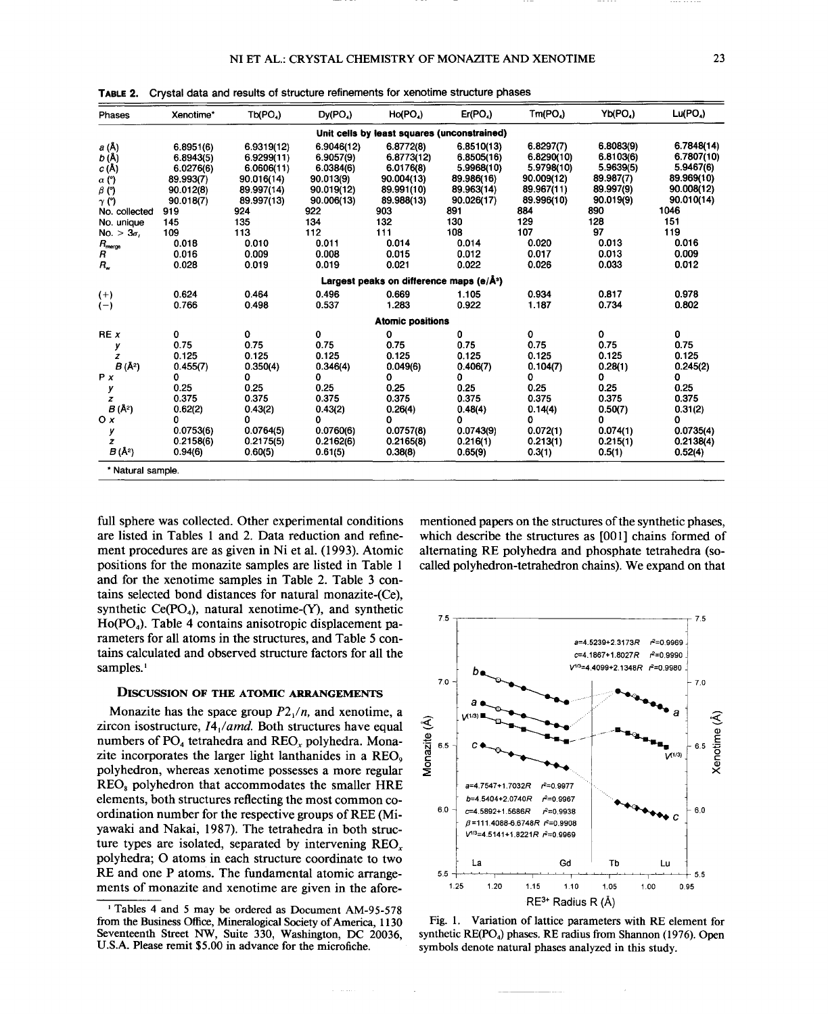| Phases                                      | Xenotime* | Tb(PO4)    | Dy(PO <sub>4</sub> ) | Ho(PO <sub>4</sub> )                                 | Er(PO <sub>4</sub> ) | Tm(PO <sub>4</sub> ) | Yb(PO4)   | Lu(PO <sub>a</sub> ) |
|---------------------------------------------|-----------|------------|----------------------|------------------------------------------------------|----------------------|----------------------|-----------|----------------------|
| Unit cells by least squares (unconstrained) |           |            |                      |                                                      |                      |                      |           |                      |
| <i>a</i> (Å)                                | 6.8951(6) | 6.9319(12) | 6.9046(12)           | 6.8772(8)                                            | 6.8510(13)           | 6.8297(7)            | 6.8083(9) | 6.7848(14)           |
| b (Å)                                       | 6.8943(5) | 6.9299(11) | 6.9057(9)            | 6.8773(12)                                           | 6.8505(16)           | 6.8290(10)           | 6.8103(6) | 6.7807(10)           |
| c (Å)                                       | 6.0276(6) | 6.0606(11) | 6.0384(6)            | 6.0176(8)                                            | 5.9968(10)           | 5.9798(10)           | 5.9639(5) | 5.9467(6)            |
| $\alpha$ (°)                                | 89.993(7) | 90.016(14) | 90.013(9)            | 90.004(13)                                           | 89.986(16)           | 90.009(12)           | 89.987(7) | 89.969(10)           |
| $\beta$ (°)                                 | 90.012(8) | 89.997(14) | 90.019(12)           | 89.991(10)                                           | 89.963(14)           | 89.967(11)           | 89.997(9) | 90.008(12)           |
| $\gamma$ (°)                                | 90.018(7) | 89.997(13) | 90.006(13)           | 89.988(13)                                           | 90.026(17)           | 89.996(10)           | 90.019(9) | 90.010(14)           |
| No. collected                               | 919       | 924        | 922                  | 903                                                  | 891                  | 884                  | 890       | 1046                 |
| No. unique                                  | 145       | 135        | 134                  | 132                                                  | 130                  | 129                  | 128       | 151                  |
| $3\sigma$<br>No. >                          | 109       | 113        | 112                  | 111                                                  | 108                  | 107                  | 97        | 119                  |
| $R_{\text{merge}}$                          | 0.018     | 0.010      | 0.011                | 0.014                                                | 0.014                | 0.020                | 0.013     | 0.016                |
| R                                           | 0.016     | 0.009      | 0.008                | 0.015                                                | 0.012                | 0.017                | 0.013     | 0.009                |
| $R_{\nu}$                                   | 0.028     | 0.019      | 0.019                | 0.021                                                | 0.022                | 0.026                | 0.033     | 0.012                |
|                                             |           |            |                      | Largest peaks on difference maps (e/Å <sup>3</sup> ) |                      |                      |           |                      |
| $(+)$                                       | 0.624     | 0.464      | 0.496                | 0.669                                                | 1.105                | 0.934                | 0.817     | 0.978                |
| $(-)$                                       | 0.766     | 0.498      | 0.537                | 1.283                                                | 0.922                | 1.187                | 0.734     | 0.802                |
|                                             |           |            |                      | <b>Atomic positions</b>                              |                      |                      |           |                      |
| REX                                         | 0         | 0          | 0                    | 0                                                    | 0                    | 0                    | 0         | 0                    |
| у                                           | 0.75      | 0.75       | 0.75                 | 0.75                                                 | 0.75                 | 0.75                 | 0.75      | 0.75                 |
| z                                           | 0.125     | 0.125      | 0.125                | 0.125                                                | 0.125                | 0.125                | 0.125     | 0.125                |
| B(A <sup>2</sup> )                          | 0.455(7)  | 0.350(4)   | 0.346(4)             | 0.049(6)                                             | 0.406(7)             | 0.104(7)             | 0.28(1)   | 0.245(2)             |
| P X                                         | 0         | 0          | 0                    | 0                                                    | 0                    | 0                    | 0         | 0                    |
| у                                           | 0.25      | 0.25       | 0.25                 | 0.25                                                 | 0.25                 | 0.25                 | 0.25      | 0.25                 |
| z                                           | 0.375     | 0.375      | 0.375                | 0.375                                                | 0.375                | 0.375                | 0.375     | 0.375                |
| $B(\AA^2)$                                  | 0.62(2)   | 0.43(2)    | 0.43(2)              | 0.26(4)                                              | 0.48(4)              | 0.14(4)              | 0.50(7)   | 0.31(2)              |
| $O \times$                                  | Ω         | n          | Ω                    | Ω                                                    | 0                    | Ω                    | O         | o                    |
| у                                           | 0.0753(6) | 0.0764(5)  | 0.0760(6)            | 0.0757(8)                                            | 0.0743(9)            | 0.072(1)             | 0.074(1)  | 0.0735(4)            |
| z                                           | 0.2158(6) | 0.2175(5)  | 0.2162(6)            | 0.2165(8)                                            | 0.216(1)             | 0.213(1)             | 0.215(1)  | 0.2138(4)            |
| B (Å2)                                      | 0.94(6)   | 0.60(5)    | 0.61(5)              | 0.38(8)                                              | 0.65(9)              | 0.3(1)               | 0.5(1)    | 0.52(4)              |
| * Natural sample.                           |           |            |                      |                                                      |                      |                      |           |                      |

TABLE 2. Crystal data and results of structure refinements for xenotime structure phases

full sphere was collected. Other experimental conditions are listed in Tables I and 2. Data reduction and refinement procedures are as given in Ni et al. (1993). Atomic positions for the monazite samples are listed in Table I and for the xenotime samples in Table 2. Table 3 contains selected bond distances for natural monazite-(Ce), synthetic  $Ce(PO<sub>4</sub>)$ , natural xenotime- $(Y)$ , and synthetic  $Ho(PO<sub>4</sub>)$ . Table 4 contains anisotropic displacement parameters for all atoms in the structures, and Table 5 contains calculated and observed structure factors for all the samples.<sup>1</sup>

### DISCUSSION OF THE ATOMIC ARRANGEMENTS

Monazite has the space group  $P2<sub>1</sub>/n$ , and xenotime, a zircon isostructure, *14/amd.* Both structures have equal numbers of  $PO<sub>4</sub>$  tetrahedra and  $REO<sub>x</sub>$  polyhedra. Monazite incorporates the larger light lanthanides in a REO<sub>9</sub> polyhedron, whereas xenotime possesses a more regular REOs polyhedron that accommodates the smaller HRE elements, both structures reflecting the most common coordination number for the respective groups ofREE (Miyawaki and Nakai, 1987). The tetrahedra in both structure types are isolated, separated by intervening REO<sub>x</sub> polyhedra; 0 atoms in each structure coordinate to two RE and one P atoms. The fundamental atomic arrangements of monazite and xenotime are given in the aforementioned papers on the structures of the synthetic phases, which describe the structures as [001] chains formed of alternating RE polyhedra and phosphate tetrahedra (socalled polyhedron-tetrahedron chains). We expand on that



Fig. I. Variation of lattice parameters with RE element for synthetic RE(PO<sub>4</sub>) phases. RE radius from Shannon (1976). Open symbols denote natural phases analyzed in this study.

--

<sup>&</sup>lt;sup>1</sup> Tables 4 and 5 may be ordered as Document AM-95-578 from the Business Office, Mineralogical Society of America, 1130 Seventeenth Street NW, Suite 330, Washington, DC 20036, U.S.A. Please remit \$5.00 in advance for the microfiche.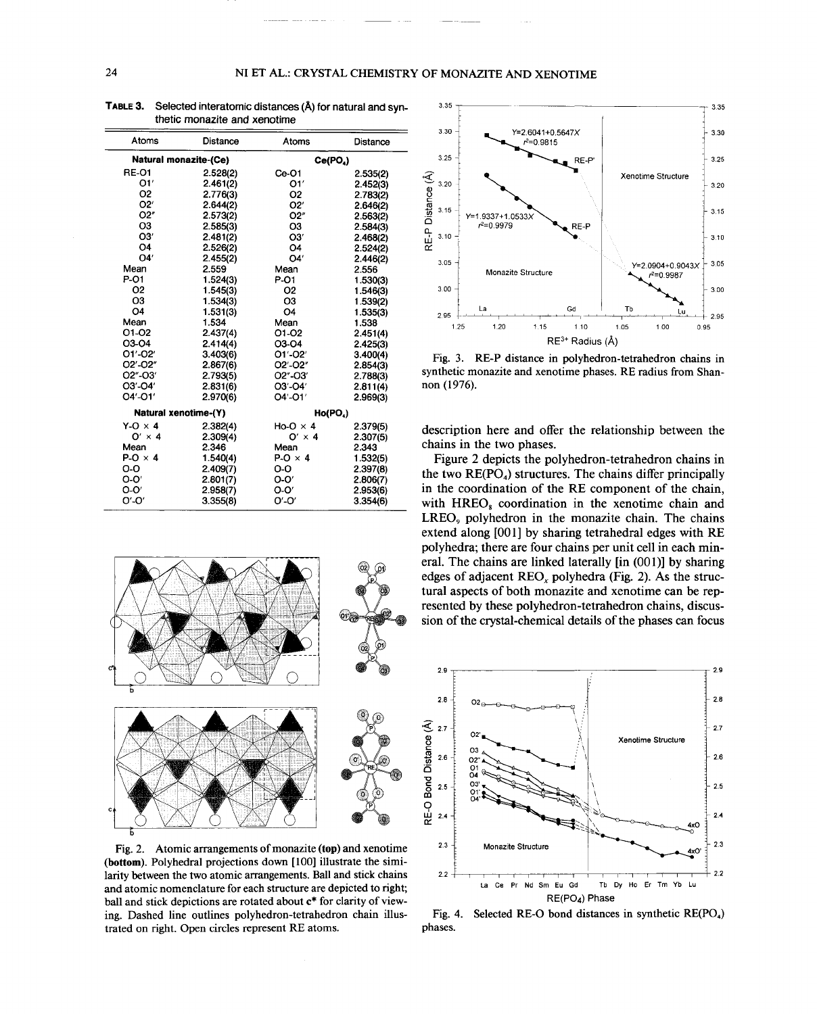| Atoms          | Distance                     | <b>Atoms</b>         | Distance |  |  |
|----------------|------------------------------|----------------------|----------|--|--|
|                | <b>Natural monazite-(Ce)</b> | Ce(PO4)              |          |  |  |
| <b>RE-01</b>   | 2.528(2)                     | $Ce-O1$              | 2.535(2) |  |  |
| O1'            | 2.461(2)                     | O1'                  | 2.452(3) |  |  |
| O2             | 2.776(3)                     | O <sub>2</sub>       | 2.783(2) |  |  |
| O2'            | 2.644(2)                     | O2'                  | 2.646(2) |  |  |
| O2"            | 2.573(2)                     | O2"                  | 2.563(2) |  |  |
| O3             | 2.585(3)                     | O <sub>3</sub>       | 2.584(3) |  |  |
| O3'            | 2.481(2)                     | O3'                  | 2.468(2) |  |  |
| O <sub>4</sub> | 2.526(2)                     | O4                   | 2.524(2) |  |  |
| O4'            | 2.455(2)                     | O4'                  | 2.446(2) |  |  |
| Mean           | 2.559                        | Mean                 | 2.556    |  |  |
| P-01           | 1.524(3)                     | P-01                 | 1.530(3) |  |  |
| Ο2             | 1.545(3)                     | <b>O2</b>            | 1.546(3) |  |  |
| O <sub>3</sub> | 1.534(3)                     | O <sub>3</sub>       | 1.539(2) |  |  |
| O4             | 1.531(3)                     | O <sub>4</sub>       | 1.535(3) |  |  |
| Mean           | 1.534                        | Mean                 | 1.538    |  |  |
| 01-02          | 2.437(4)                     | 01-02                | 2.451(4) |  |  |
| 03-04          | 2.414(4)                     | 03-04                | 2.425(3) |  |  |
| 01'-02'        | 3.403(6)                     | O1'-O2'              | 3.400(4) |  |  |
| O2'-O2"        | 2.867(6)                     | O2'-O2"              | 2.854(3) |  |  |
| O2"-O3'        | 2.793(5)                     | O2"-O3'              | 2.788(3) |  |  |
| O3'-O4'        | 2.831(6)                     | O3'-O4'              | 2.811(4) |  |  |
| O4'-O1'        | 2.970(6)                     | O4'-O1'              | 2.969(3) |  |  |
|                | <b>Natural xenotime-(Y)</b>  | Ho(PO <sub>a</sub> ) |          |  |  |
| $Y-O \times 4$ | 2.382(4)                     | $Ho-O \times 4$      | 2.379(5) |  |  |
| $O' \times 4$  | 2.309(4)                     | $O' \times 4$        | 2.307(5) |  |  |
| Mean           | 2.346                        | Mean                 | 2.343    |  |  |
| $P-O \times 4$ | 1.540(4)                     | $P-O \times 4$       | 1.532(5) |  |  |
| O-O            | 2.409(7)                     | o-o                  | 2.397(8) |  |  |
| $O-O'$         | 2.801(7)                     | $O-O'$               | 2.806(7) |  |  |
| $O-O'$         | 2.958(7)                     | $O-O'$               | 2.953(6) |  |  |
| O'-O'          | 3.355(8)                     | O'-O'                | 3.354(6) |  |  |

TABLE 3. Selected interatomic distances (A) for natural and synthetic monazite and xenotime



Fig. 2. Atomic arrangements of monazite (top) and xenotime (bottom). Polyhedral projections down [100] illustrate the similarity between the two atomic arrangements. Ball and stick chains and atomic nomenclature for each structure are depicted to right; ball and stick depictions are rotated about c\* for clarity of viewing. Dashed line outlines polyhedron-tetrahedron chain illustrated on right. Open circles represent RE atoms.



Fig. 3. RE-P distance in polyhedron-tetrahedron chains in synthetic monazite and xenotime phases. RE radius from Shannon (1976).

description here and offer the relationship between the chains in the two phases.

Figure 2 depicts the polyhedron-tetrahedron chains in the two  $RE(PO<sub>4</sub>)$  structures. The chains differ principally in the coordination of the RE component of the chain, with HREO<sub>s</sub> coordination in the xenotime chain and LREO<sub>9</sub> polyhedron in the monazite chain. The chains extend along [001] by sharing tetrahedral edges with RE polyhedra; there are four chains per unit cell in each mineral. The chains are linked laterally [in (001)] by sharing edges of adjacent  $REO<sub>x</sub>$  polyhedra (Fig. 2). As the structural aspects of both monazite and xenotime can be represented by these polyhedron-tetrahedron chains, discussion of the crystal-chemical details of the phases can focus



Fig. 4. Selected RE-O bond distances in synthetic RE(PO.) phases.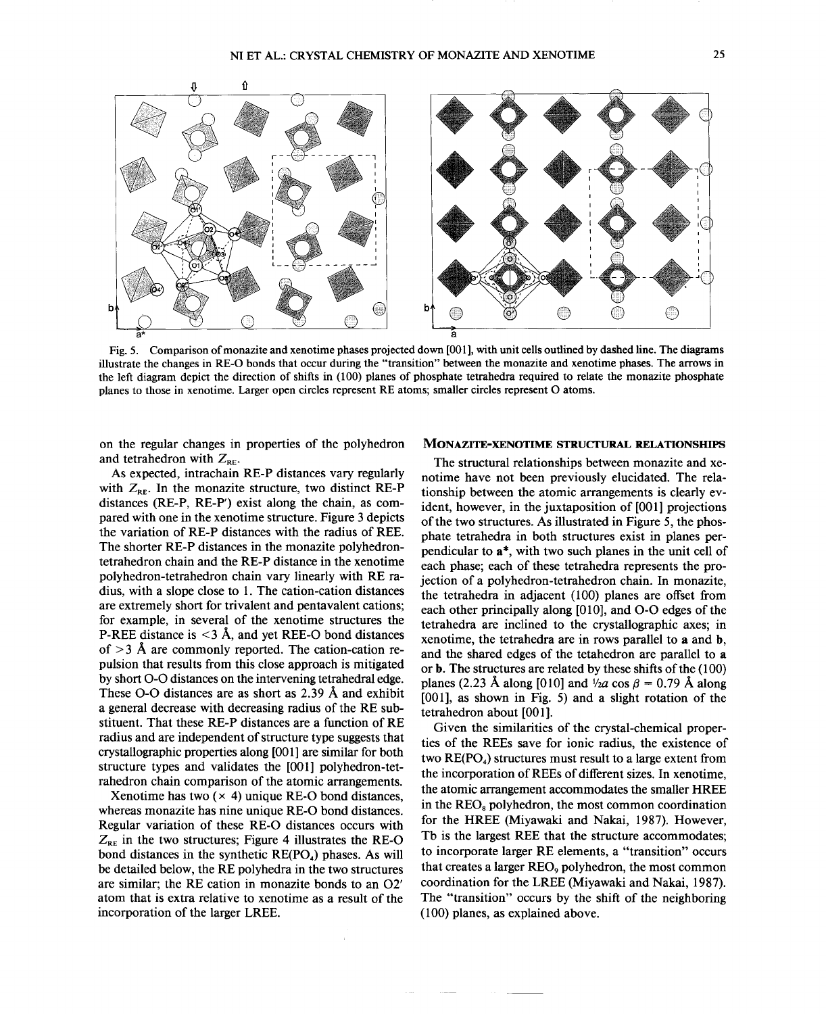

Fig. 5. Comparison of monazite and xenotime phases projected down [001], with unit cells outlined by dashed line. The diagran illustrate the changes in RE-O bonds that occur during the "transition" between the monazite and xenotime phases. The arrows in the left diagram depict the direction of shifts in (100) planes of phosphate tetrahedra required to relate the monazite phosphate planes to those in xenotime. Larger open circles represent RE atoms; smaller circles represent 0 atoms.

on the regular changes in properties of the polyhedron and tetrahedron with  $Z_{RE}$ .

As expected, intrachain RE-P distances vary regularly with  $Z_{RE}$ . In the monazite structure, two distinct RE-P distances (RE-P, RE-P') exist along the chain, as compared with one in the xenotime structure. Figure 3 depicts the variation of RE-P distances with the radius of REE. The shorter RE-P distances in the monazite polyhedrontetrahedron chain and the RE-P distance in the xenotime polyhedron-tetrahedron chain vary linearly with RE radius, with a slope close to 1. The cation-cation distances are extremely short for trivalent and pentavalent cations; for example, in several of the xenotime structures the P-REE distance is  $<$ 3 Å, and yet REE-O bond distances of  $>$  3 Å are commonly reported. The cation-cation repulsion that results from this close approach is mitigated by short 0-0 distances on the intervening tetrahedral edge. These 0-0 distances are as short as 2.39 A and exhibit a general decrease with decreasing radius of the RE substituent. That these RE-P distances are a function of RE radius and are independent of structure type suggests that crystallographic properties along [001] are similar for both structure types and validates the [001] polyhedron-tetrahedron chain comparison of the atomic arrangements.

Xenotime has two  $(x 4)$  unique RE-O bond distances, whereas monazite has nine unique RE-O bond distances. Regular variation of these RE-O distances occurs with  $Z_{RE}$  in the two structures; Figure 4 illustrates the RE-O bond distances in the synthetic  $RE(PO<sub>4</sub>)$  phases. As will be detailed below, the RE polyhedra in the two structures are similar; the RE cation in monazite bonds to an 02' atom that is extra relative to xenotime as a result of the incorporation of the larger LREE.

# MONAZITE-XENOTIME STRUCTURAL RELATIONSHIPS

The structural relationships between monazite and xenotime have not been previously elucidated. The relationship between the atomic arrangements is clearly evident, however, in the juxtaposition of [001] projections of the two structures. As illustrated in Figure 5, the phosphate tetrahedra in both structures exist in planes perpendicular to a\*, with two such planes in the unit cell of each phase; each of these tetrahedra represents the projection of a polyhedron-tetrahedron chain. In monazite, the tetrahedra in adjacent (100) planes are offset from each other principally along [010], and 0-0 edges of the tetrahedra are inclined to the crystallographic axes; in xenotime, the tetrahedra are in rows parallel to a and **b,** and the shared edges of the tetahedron are parallel to a or b. The structures are related by these shifts of the (l00) planes (2.23 Å along [010] and  $\frac{1}{2}a \cos \beta = 0.79$  Å along [001], as shown in Fig. 5) and a slight rotation of the tetrahedron about [001].

Given the similarities of the crystal-chemical properties of the REEs save for ionic radius, the existence of two  $RE(PO<sub>4</sub>)$  structures must result to a large extent from the incorporation of REEs of different sizes. In xenotime, the atomic arrangement accommodates the smaller HREE in the  $\text{REO}_8$  polyhedron, the most common coordination for the HREE (Miyawaki and Nakai, 1987). However, Tb is the largest REE that the structure accommodates; to incorporate larger RE elements, a "transition" occurs that creates a larger REO<sub>9</sub> polyhedron, the most common coordination for the LREE (Miyawaki and Nakai, 1987). The "transition" occurs by the shift of the neighboring (100) planes, as explained above.